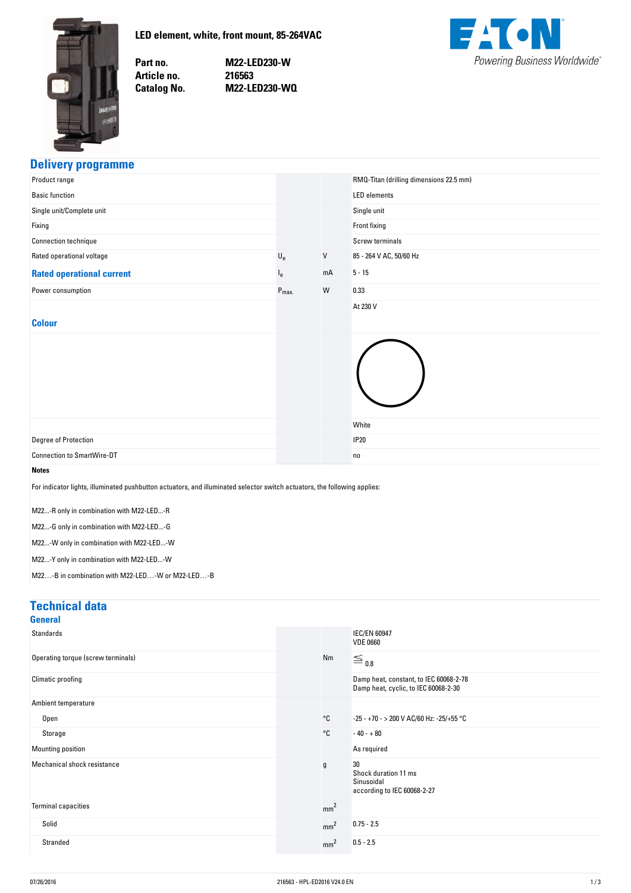<span id="page-0-0"></span>

**LED-element,-white,-front-mount,-85-264VAC**

Part no. Article no. **Catalog No.**  **no. M22-LED230-W no. 216563 No. M22-LED230-WQ**



### **Delivery-programme**

| Product range                                                                                                                                                                                                                                                                                                                                                 |                           |         | RMQ-Titan (drilling dimensions 22.5 mm) |
|---------------------------------------------------------------------------------------------------------------------------------------------------------------------------------------------------------------------------------------------------------------------------------------------------------------------------------------------------------------|---------------------------|---------|-----------------------------------------|
| <b>Basic function</b>                                                                                                                                                                                                                                                                                                                                         |                           |         | <b>LED</b> elements                     |
| Single unit/Complete unit                                                                                                                                                                                                                                                                                                                                     |                           |         | Single unit                             |
| Fixing                                                                                                                                                                                                                                                                                                                                                        |                           |         | Front fixing                            |
| Connection technique                                                                                                                                                                                                                                                                                                                                          |                           |         | <b>Screw terminals</b>                  |
| Rated operational voltage                                                                                                                                                                                                                                                                                                                                     | $\mathsf{U}_{\mathsf{e}}$ | $\sf V$ | 85 - 264 V AC, 50/60 Hz                 |
| <b>Rated operational current</b>                                                                                                                                                                                                                                                                                                                              | $I_{e}$                   | mA      | $5 - 15$                                |
| Power consumption                                                                                                                                                                                                                                                                                                                                             | $P_{\text{max}}$          | W       | 0.33                                    |
|                                                                                                                                                                                                                                                                                                                                                               |                           |         | At 230 V                                |
| <b>Colour</b>                                                                                                                                                                                                                                                                                                                                                 |                           |         |                                         |
| Degree of Protection                                                                                                                                                                                                                                                                                                                                          |                           |         | White<br><b>IP20</b>                    |
| <b>Connection to SmartWire-DT</b>                                                                                                                                                                                                                                                                                                                             |                           |         | no                                      |
| <b>Notes</b>                                                                                                                                                                                                                                                                                                                                                  |                           |         |                                         |
| For indicator lights, illuminated pushbutton actuators, and illuminated selector switch actuators, the following applies:<br>M22-R only in combination with M22-LED-R<br>M22-G only in combination with M22-LED-G<br>M22-W only in combination with M22-LED-W<br>M22-Y only in combination with M22-LED-W<br>M22-B in combination with M22-LED-W or M22-LED-B |                           |         |                                         |

#### **Technical-data**

| <b>General</b>                     |                 |                                                                                |
|------------------------------------|-----------------|--------------------------------------------------------------------------------|
| Standards                          |                 | <b>IEC/EN 60947</b><br><b>VDE 0660</b>                                         |
| Operating torque (screw terminals) | Nm              | $\equiv$ 0.8                                                                   |
| Climatic proofing                  |                 | Damp heat, constant, to IEC 60068-2-78<br>Damp heat, cyclic, to IEC 60068-2-30 |
| Ambient temperature                |                 |                                                                                |
| Open                               | °C              | -25 - +70 - > 200 V AC/60 Hz: -25/+55 °C                                       |
| Storage                            | °C              | $-40 - +80$                                                                    |
| Mounting position                  |                 | As required                                                                    |
| Mechanical shock resistance        | g               | 30<br>Shock duration 11 ms<br>Sinusoidal<br>according to IEC 60068-2-27        |
| <b>Terminal capacities</b>         | mm <sup>2</sup> |                                                                                |
| Solid                              | mm <sup>2</sup> | $0.75 - 2.5$                                                                   |
| Stranded                           | mm <sup>2</sup> | $0.5 - 2.5$                                                                    |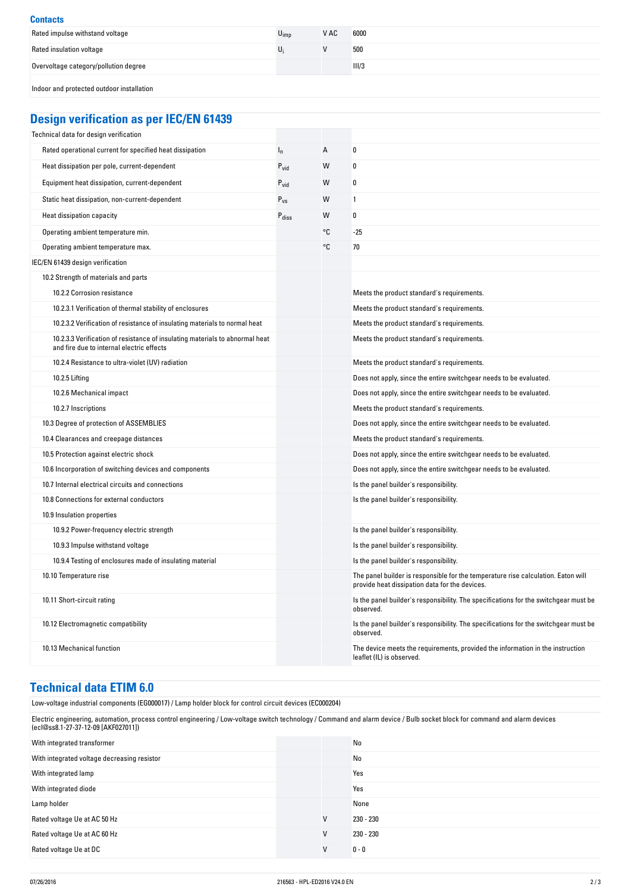| <b>Contacts</b>                           |                  |      |       |
|-------------------------------------------|------------------|------|-------|
| Rated impulse withstand voltage           | $U_{\text{imp}}$ | V AC | 6000  |
| Rated insulation voltage                  |                  |      | 500   |
| Overvoltage category/pollution degree     |                  |      | III/3 |
| Indoor and protected outdoor installation |                  |      |       |

# **Design-verification-as-per-IEC/EN-61439**

| Technical data for design verification                                                                                    |                   |    |                                                                                                                                     |
|---------------------------------------------------------------------------------------------------------------------------|-------------------|----|-------------------------------------------------------------------------------------------------------------------------------------|
| Rated operational current for specified heat dissipation                                                                  | $I_n$             | A  | 0                                                                                                                                   |
| Heat dissipation per pole, current-dependent                                                                              | $P_{vid}$         | W  | 0                                                                                                                                   |
| Equipment heat dissipation, current-dependent                                                                             | $P_{\text{vid}}$  | W  | 0                                                                                                                                   |
| Static heat dissipation, non-current-dependent                                                                            | $P_{VS}$          | W  | 1                                                                                                                                   |
| Heat dissipation capacity                                                                                                 | $P_{\text{diss}}$ | W  | 0                                                                                                                                   |
| Operating ambient temperature min.                                                                                        |                   | °C | $-25$                                                                                                                               |
| Operating ambient temperature max.                                                                                        |                   | °C | 70                                                                                                                                  |
| IEC/EN 61439 design verification                                                                                          |                   |    |                                                                                                                                     |
| 10.2 Strength of materials and parts                                                                                      |                   |    |                                                                                                                                     |
| 10.2.2 Corrosion resistance                                                                                               |                   |    | Meets the product standard's requirements.                                                                                          |
| 10.2.3.1 Verification of thermal stability of enclosures                                                                  |                   |    | Meets the product standard's requirements.                                                                                          |
| 10.2.3.2 Verification of resistance of insulating materials to normal heat                                                |                   |    | Meets the product standard's requirements.                                                                                          |
| 10.2.3.3 Verification of resistance of insulating materials to abnormal heat<br>and fire due to internal electric effects |                   |    | Meets the product standard's requirements.                                                                                          |
| 10.2.4 Resistance to ultra-violet (UV) radiation                                                                          |                   |    | Meets the product standard's requirements.                                                                                          |
| 10.2.5 Lifting                                                                                                            |                   |    | Does not apply, since the entire switchgear needs to be evaluated.                                                                  |
| 10.2.6 Mechanical impact                                                                                                  |                   |    | Does not apply, since the entire switchgear needs to be evaluated.                                                                  |
| 10.2.7 Inscriptions                                                                                                       |                   |    | Meets the product standard's requirements.                                                                                          |
| 10.3 Degree of protection of ASSEMBLIES                                                                                   |                   |    | Does not apply, since the entire switchgear needs to be evaluated.                                                                  |
| 10.4 Clearances and creepage distances                                                                                    |                   |    | Meets the product standard's requirements.                                                                                          |
| 10.5 Protection against electric shock                                                                                    |                   |    | Does not apply, since the entire switchgear needs to be evaluated.                                                                  |
| 10.6 Incorporation of switching devices and components                                                                    |                   |    | Does not apply, since the entire switchgear needs to be evaluated.                                                                  |
| 10.7 Internal electrical circuits and connections                                                                         |                   |    | Is the panel builder's responsibility.                                                                                              |
| 10.8 Connections for external conductors                                                                                  |                   |    | Is the panel builder's responsibility.                                                                                              |
| 10.9 Insulation properties                                                                                                |                   |    |                                                                                                                                     |
| 10.9.2 Power-frequency electric strength                                                                                  |                   |    | Is the panel builder's responsibility.                                                                                              |
| 10.9.3 Impulse withstand voltage                                                                                          |                   |    | Is the panel builder's responsibility.                                                                                              |
| 10.9.4 Testing of enclosures made of insulating material                                                                  |                   |    | Is the panel builder's responsibility.                                                                                              |
| 10.10 Temperature rise                                                                                                    |                   |    | The panel builder is responsible for the temperature rise calculation. Eaton will<br>provide heat dissipation data for the devices. |
| 10.11 Short-circuit rating                                                                                                |                   |    | Is the panel builder's responsibility. The specifications for the switchgear must be<br>observed.                                   |
| 10.12 Electromagnetic compatibility                                                                                       |                   |    | Is the panel builder's responsibility. The specifications for the switchgear must be<br>observed.                                   |
| 10.13 Mechanical function                                                                                                 |                   |    | The device meets the requirements, provided the information in the instruction<br>leaflet (IL) is observed.                         |

# **Technical-data-ETIM-6.0**

| Low-voltage industrial components (EG000017) / Lamp holder block for control circuit devices (EC000204)                                                                                                           |   |             |  |
|-------------------------------------------------------------------------------------------------------------------------------------------------------------------------------------------------------------------|---|-------------|--|
| Electric engineering, automation, process control engineering / Low-voltage switch technology / Command and alarm device / Bulb socket block for command and alarm devices<br>(ecl@ss8.1-27-37-12-09 [AKF027011]) |   |             |  |
| With integrated transformer                                                                                                                                                                                       |   | No          |  |
| With integrated voltage decreasing resistor                                                                                                                                                                       |   | No          |  |
| With integrated lamp                                                                                                                                                                                              |   | Yes         |  |
| With integrated diode                                                                                                                                                                                             |   | Yes         |  |
| Lamp holder                                                                                                                                                                                                       |   | None        |  |
| Rated voltage Ue at AC 50 Hz                                                                                                                                                                                      | V | 230 - 230   |  |
| Rated voltage Ue at AC 60 Hz                                                                                                                                                                                      | V | $230 - 230$ |  |
| Rated voltage Ue at DC                                                                                                                                                                                            | V | $0 - 0$     |  |